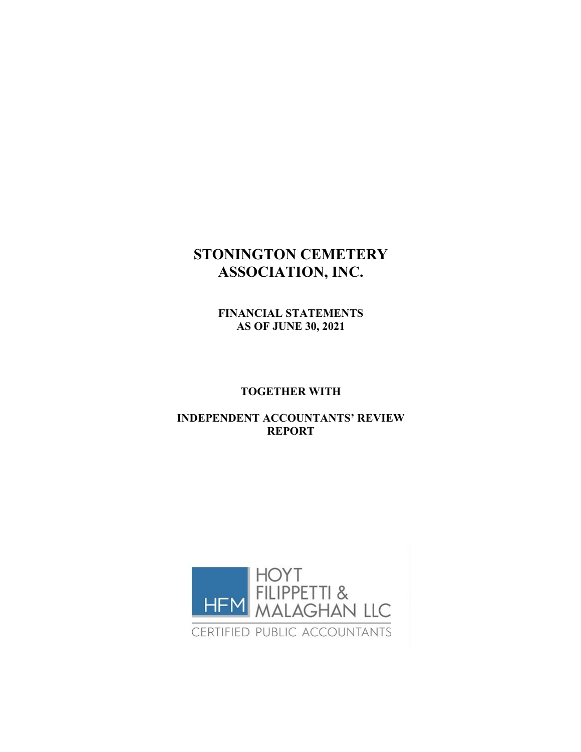# **STONINGTON CEMETERY ASSOCIATION, INC.**

**FINANCIAL STATEMENTS AS OF JUNE 30, 2021**

## **TOGETHER WITH**

## **INDEPENDENT ACCOUNTANTS' REVIEW REPORT**

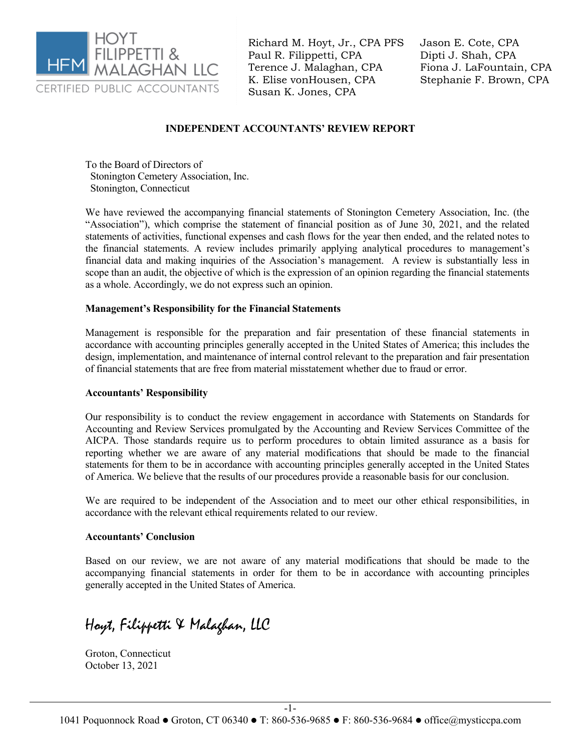

Richard M. Hoyt, Jr., CPA PFS Paul R. Filippetti, CPA Terence J. Malaghan, CPA K. Elise vonHousen, CPA Susan K. Jones, CPA

Jason E. Cote, CPA Dipti J. Shah, CPA Fiona J. LaFountain, CPA Stephanie F. Brown, CPA

## **INDEPENDENT ACCOUNTANTS' REVIEW REPORT**

To the Board of Directors of Stonington Cemetery Association, Inc. Stonington, Connecticut

We have reviewed the accompanying financial statements of Stonington Cemetery Association, Inc. (the "Association"), which comprise the statement of financial position as of June 30, 2021, and the related statements of activities, functional expenses and cash flows for the year then ended, and the related notes to the financial statements. A review includes primarily applying analytical procedures to management's financial data and making inquiries of the Association's management. A review is substantially less in scope than an audit, the objective of which is the expression of an opinion regarding the financial statements as a whole. Accordingly, we do not express such an opinion.

#### **Management's Responsibility for the Financial Statements**

Management is responsible for the preparation and fair presentation of these financial statements in accordance with accounting principles generally accepted in the United States of America; this includes the design, implementation, and maintenance of internal control relevant to the preparation and fair presentation of financial statements that are free from material misstatement whether due to fraud or error.

#### **Accountants' Responsibility**

Our responsibility is to conduct the review engagement in accordance with Statements on Standards for Accounting and Review Services promulgated by the Accounting and Review Services Committee of the AICPA. Those standards require us to perform procedures to obtain limited assurance as a basis for reporting whether we are aware of any material modifications that should be made to the financial statements for them to be in accordance with accounting principles generally accepted in the United States of America. We believe that the results of our procedures provide a reasonable basis for our conclusion.

We are required to be independent of the Association and to meet our other ethical responsibilities, in accordance with the relevant ethical requirements related to our review.

#### **Accountants' Conclusion**

Based on our review, we are not aware of any material modifications that should be made to the accompanying financial statements in order for them to be in accordance with accounting principles generally accepted in the United States of America.

Hoyt, Filippetti & Malaghan, LLC

Groton, Connecticut October 13, 2021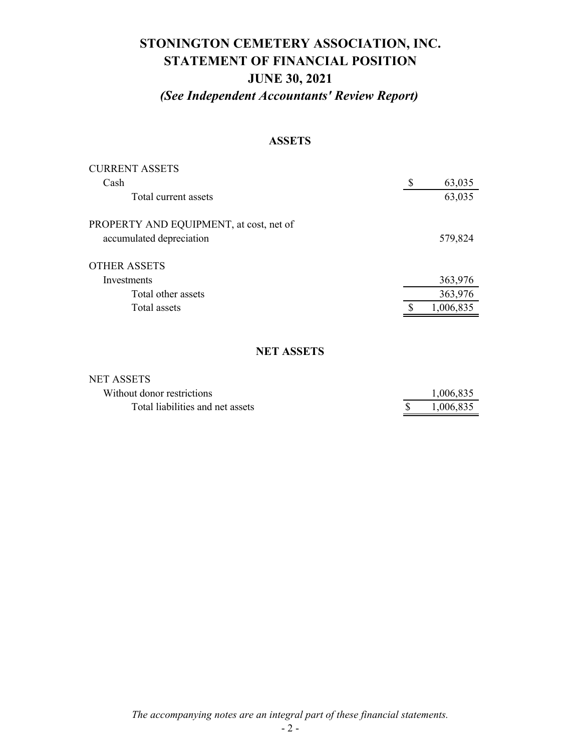# **STATEMENT OF FINANCIAL POSITION STONINGTON CEMETERY ASSOCIATION, INC. JUNE 30, 2021** *(See Independent Accountants' Review Report)*

## **ASSETS**

| <b>CURRENT ASSETS</b>                   |              |
|-----------------------------------------|--------------|
| Cash                                    | \$<br>63,035 |
| Total current assets                    | 63,035       |
| PROPERTY AND EQUIPMENT, at cost, net of |              |
| accumulated depreciation                | 579,824      |
| <b>OTHER ASSETS</b>                     |              |
| Investments                             | 363,976      |
| Total other assets                      | 363,976      |
| Total assets                            | 1,006,835    |

## **NET ASSETS**

| NET ASSETS                       |           |
|----------------------------------|-----------|
| Without donor restrictions       | 1,006,835 |
| Total liabilities and net assets | 1,006,835 |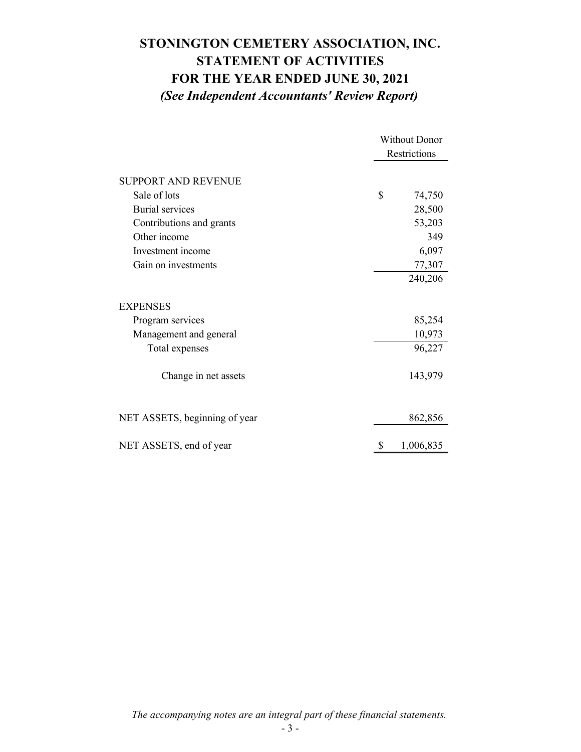# **STONINGTON CEMETERY ASSOCIATION, INC. STATEMENT OF ACTIVITIES FOR THE YEAR ENDED JUNE 30, 2021** *(See Independent Accountants' Review Report)*

|                               | <b>Without Donor</b> |
|-------------------------------|----------------------|
|                               | Restrictions         |
| SUPPORT AND REVENUE           |                      |
| Sale of lots                  | \$<br>74,750         |
| <b>Burial</b> services        | 28,500               |
| Contributions and grants      | 53,203               |
| Other income                  | 349                  |
| Investment income             | 6,097                |
| Gain on investments           | 77,307               |
|                               | 240,206              |
| <b>EXPENSES</b>               |                      |
| Program services              | 85,254               |
| Management and general        | 10,973               |
| Total expenses                | 96,227               |
| Change in net assets          | 143,979              |
| NET ASSETS, beginning of year | 862,856              |
| NET ASSETS, end of year       | \$<br>1,006,835      |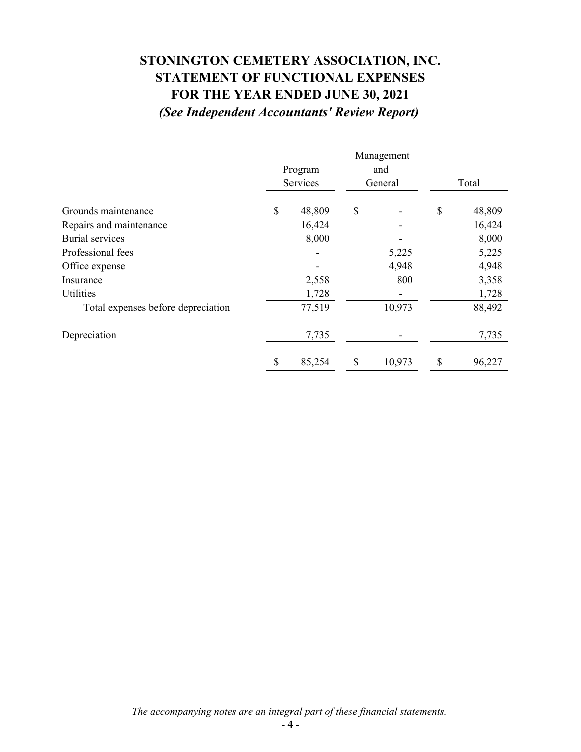# **STONINGTON CEMETERY ASSOCIATION, INC. STATEMENT OF FUNCTIONAL EXPENSES FOR THE YEAR ENDED JUNE 30, 2021** *(See Independent Accountants' Review Report)*

|                                    | Management          |        |                |        |       |        |
|------------------------------------|---------------------|--------|----------------|--------|-------|--------|
|                                    | Program<br>Services |        | and<br>General |        |       |        |
|                                    |                     |        |                |        | Total |        |
| Grounds maintenance                | \$                  | 48,809 | \$             |        | \$    | 48,809 |
| Repairs and maintenance            |                     | 16,424 |                |        |       | 16,424 |
| <b>Burial</b> services             |                     | 8,000  |                |        |       | 8,000  |
| Professional fees                  |                     |        |                | 5,225  |       | 5,225  |
| Office expense                     |                     |        |                | 4,948  |       | 4,948  |
| Insurance                          |                     | 2,558  |                | 800    |       | 3,358  |
| Utilities                          |                     | 1,728  |                | -      |       | 1,728  |
| Total expenses before depreciation |                     | 77,519 |                | 10,973 |       | 88,492 |
| Depreciation                       |                     | 7,735  |                |        |       | 7,735  |
|                                    |                     | 85,254 | \$             | 10,973 |       | 96,227 |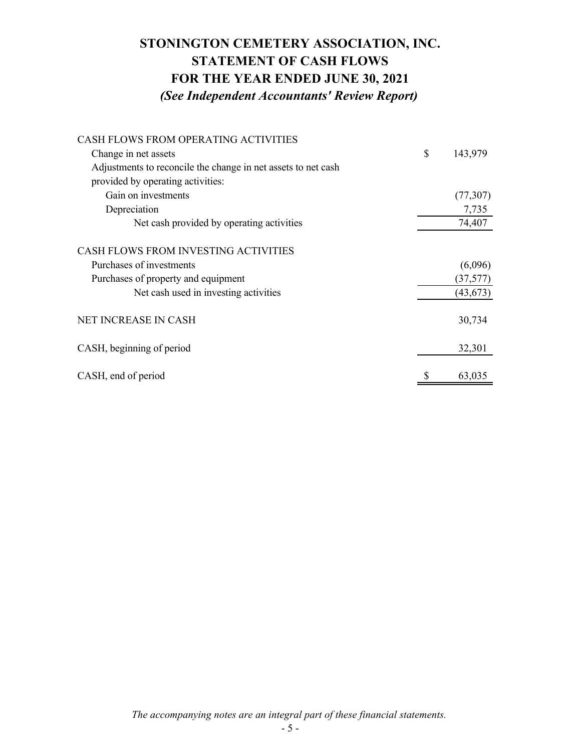# **STONINGTON CEMETERY ASSOCIATION, INC. STATEMENT OF CASH FLOWS FOR THE YEAR ENDED JUNE 30, 2021** *(See Independent Accountants' Review Report)*

| CASH FLOWS FROM OPERATING ACTIVITIES                          |               |
|---------------------------------------------------------------|---------------|
| Change in net assets                                          | \$<br>143,979 |
| Adjustments to reconcile the change in net assets to net cash |               |
| provided by operating activities:                             |               |
| Gain on investments                                           | (77, 307)     |
| Depreciation                                                  | 7,735         |
| Net cash provided by operating activities                     | 74,407        |
| <b>CASH FLOWS FROM INVESTING ACTIVITIES</b>                   |               |
| Purchases of investments                                      | (6,096)       |
| Purchases of property and equipment                           | (37, 577)     |
| Net cash used in investing activities                         | (43, 673)     |
| NET INCREASE IN CASH                                          | 30,734        |
| CASH, beginning of period                                     | 32,301        |
| CASH, end of period                                           | 63,035        |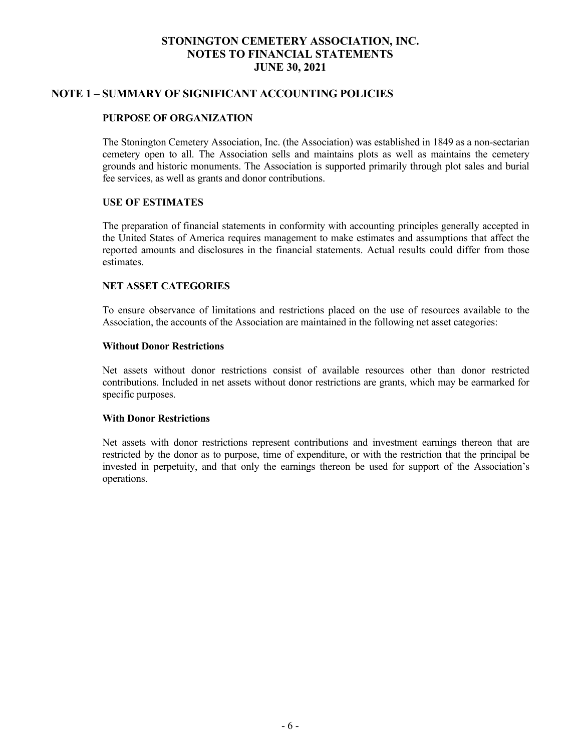## **NOTE 1 – SUMMARY OF SIGNIFICANT ACCOUNTING POLICIES**

#### **PURPOSE OF ORGANIZATION**

The Stonington Cemetery Association, Inc. (the Association) was established in 1849 as a non-sectarian cemetery open to all. The Association sells and maintains plots as well as maintains the cemetery grounds and historic monuments. The Association is supported primarily through plot sales and burial fee services, as well as grants and donor contributions.

#### **USE OF ESTIMATES**

The preparation of financial statements in conformity with accounting principles generally accepted in the United States of America requires management to make estimates and assumptions that affect the reported amounts and disclosures in the financial statements. Actual results could differ from those estimates.

#### **NET ASSET CATEGORIES**

To ensure observance of limitations and restrictions placed on the use of resources available to the Association, the accounts of the Association are maintained in the following net asset categories:

#### **Without Donor Restrictions**

Net assets without donor restrictions consist of available resources other than donor restricted contributions. Included in net assets without donor restrictions are grants, which may be earmarked for specific purposes.

#### **With Donor Restrictions**

Net assets with donor restrictions represent contributions and investment earnings thereon that are restricted by the donor as to purpose, time of expenditure, or with the restriction that the principal be invested in perpetuity, and that only the earnings thereon be used for support of the Association's operations.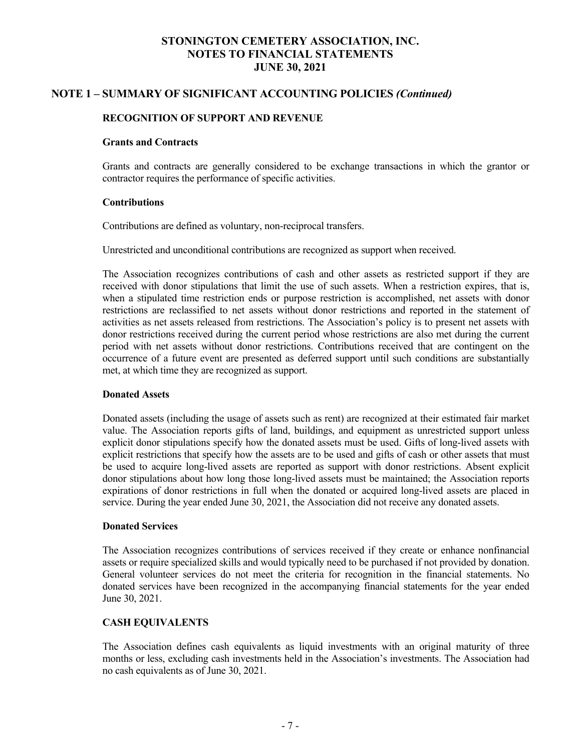### **NOTE 1 – SUMMARY OF SIGNIFICANT ACCOUNTING POLICIES** *(Continued)*

#### **RECOGNITION OF SUPPORT AND REVENUE**

#### **Grants and Contracts**

Grants and contracts are generally considered to be exchange transactions in which the grantor or contractor requires the performance of specific activities.

#### **Contributions**

Contributions are defined as voluntary, non-reciprocal transfers.

Unrestricted and unconditional contributions are recognized as support when received.

The Association recognizes contributions of cash and other assets as restricted support if they are received with donor stipulations that limit the use of such assets. When a restriction expires, that is, when a stipulated time restriction ends or purpose restriction is accomplished, net assets with donor restrictions are reclassified to net assets without donor restrictions and reported in the statement of activities as net assets released from restrictions. The Association's policy is to present net assets with donor restrictions received during the current period whose restrictions are also met during the current period with net assets without donor restrictions. Contributions received that are contingent on the occurrence of a future event are presented as deferred support until such conditions are substantially met, at which time they are recognized as support.

#### **Donated Assets**

Donated assets (including the usage of assets such as rent) are recognized at their estimated fair market value. The Association reports gifts of land, buildings, and equipment as unrestricted support unless explicit donor stipulations specify how the donated assets must be used. Gifts of long-lived assets with explicit restrictions that specify how the assets are to be used and gifts of cash or other assets that must be used to acquire long-lived assets are reported as support with donor restrictions. Absent explicit donor stipulations about how long those long-lived assets must be maintained; the Association reports expirations of donor restrictions in full when the donated or acquired long-lived assets are placed in service. During the year ended June 30, 2021, the Association did not receive any donated assets.

#### **Donated Services**

The Association recognizes contributions of services received if they create or enhance nonfinancial assets or require specialized skills and would typically need to be purchased if not provided by donation. General volunteer services do not meet the criteria for recognition in the financial statements. No donated services have been recognized in the accompanying financial statements for the year ended June 30, 2021.

### **CASH EQUIVALENTS**

The Association defines cash equivalents as liquid investments with an original maturity of three months or less, excluding cash investments held in the Association's investments. The Association had no cash equivalents as of June 30, 2021.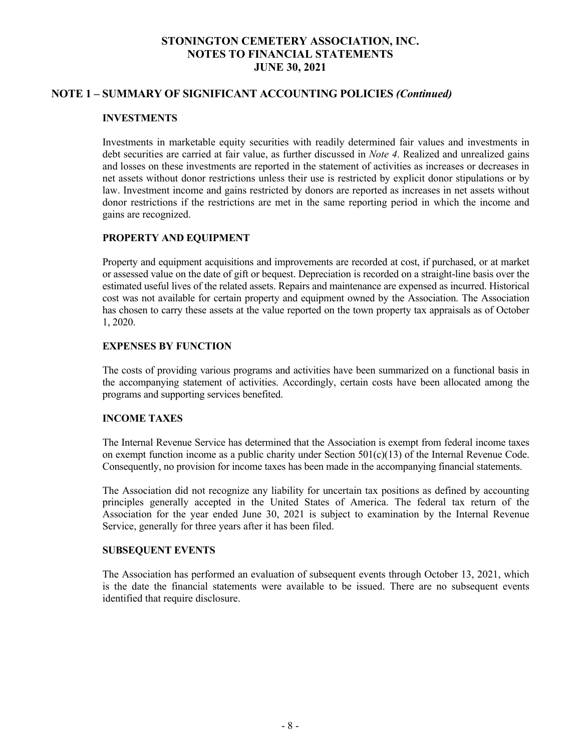### **NOTE 1 – SUMMARY OF SIGNIFICANT ACCOUNTING POLICIES** *(Continued)*

#### **INVESTMENTS**

Investments in marketable equity securities with readily determined fair values and investments in debt securities are carried at fair value, as further discussed in *Note 4*. Realized and unrealized gains and losses on these investments are reported in the statement of activities as increases or decreases in net assets without donor restrictions unless their use is restricted by explicit donor stipulations or by law. Investment income and gains restricted by donors are reported as increases in net assets without donor restrictions if the restrictions are met in the same reporting period in which the income and gains are recognized.

#### **PROPERTY AND EQUIPMENT**

Property and equipment acquisitions and improvements are recorded at cost, if purchased, or at market or assessed value on the date of gift or bequest. Depreciation is recorded on a straight-line basis over the estimated useful lives of the related assets. Repairs and maintenance are expensed as incurred. Historical cost was not available for certain property and equipment owned by the Association. The Association has chosen to carry these assets at the value reported on the town property tax appraisals as of October 1, 2020.

#### **EXPENSES BY FUNCTION**

The costs of providing various programs and activities have been summarized on a functional basis in the accompanying statement of activities. Accordingly, certain costs have been allocated among the programs and supporting services benefited.

#### **INCOME TAXES**

The Internal Revenue Service has determined that the Association is exempt from federal income taxes on exempt function income as a public charity under Section 501(c)(13) of the Internal Revenue Code. Consequently, no provision for income taxes has been made in the accompanying financial statements.

The Association did not recognize any liability for uncertain tax positions as defined by accounting principles generally accepted in the United States of America. The federal tax return of the Association for the year ended June 30, 2021 is subject to examination by the Internal Revenue Service, generally for three years after it has been filed.

#### **SUBSEQUENT EVENTS**

The Association has performed an evaluation of subsequent events through October 13, 2021, which is the date the financial statements were available to be issued. There are no subsequent events identified that require disclosure.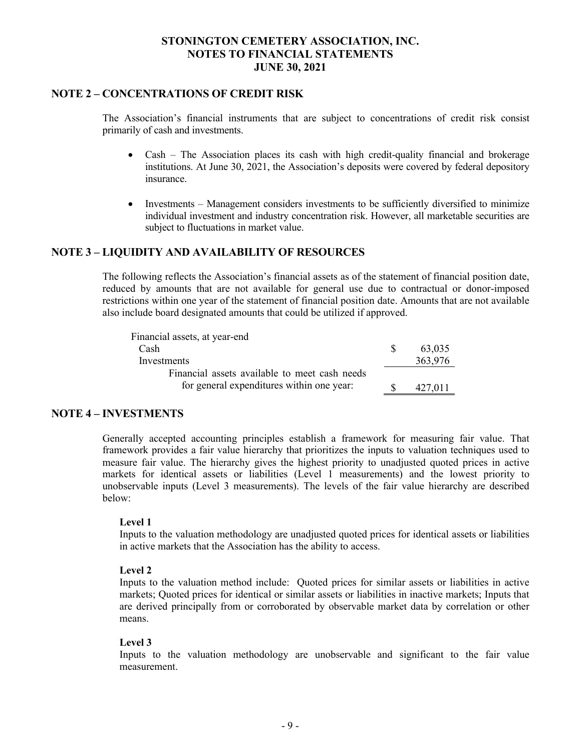## **NOTE 2 – CONCENTRATIONS OF CREDIT RISK**

The Association's financial instruments that are subject to concentrations of credit risk consist primarily of cash and investments.

- Cash The Association places its cash with high credit-quality financial and brokerage institutions. At June 30, 2021, the Association's deposits were covered by federal depository insurance.
- Investments Management considers investments to be sufficiently diversified to minimize individual investment and industry concentration risk. However, all marketable securities are subject to fluctuations in market value.

## **NOTE 3 – LIQUIDITY AND AVAILABILITY OF RESOURCES**

The following reflects the Association's financial assets as of the statement of financial position date, reduced by amounts that are not available for general use due to contractual or donor-imposed restrictions within one year of the statement of financial position date. Amounts that are not available also include board designated amounts that could be utilized if approved.

| Financial assets, at year-end                 |     |         |
|-----------------------------------------------|-----|---------|
| Cash                                          | -SS | 63,035  |
| Investments                                   |     | 363,976 |
| Financial assets available to meet cash needs |     |         |
| for general expenditures within one year:     |     | 427,011 |

### **NOTE 4 – INVESTMENTS**

Generally accepted accounting principles establish a framework for measuring fair value. That framework provides a fair value hierarchy that prioritizes the inputs to valuation techniques used to measure fair value. The hierarchy gives the highest priority to unadjusted quoted prices in active markets for identical assets or liabilities (Level 1 measurements) and the lowest priority to unobservable inputs (Level 3 measurements). The levels of the fair value hierarchy are described below:

#### **Level 1**

Inputs to the valuation methodology are unadjusted quoted prices for identical assets or liabilities in active markets that the Association has the ability to access.

### **Level 2**

Inputs to the valuation method include: Quoted prices for similar assets or liabilities in active markets; Quoted prices for identical or similar assets or liabilities in inactive markets; Inputs that are derived principally from or corroborated by observable market data by correlation or other means.

#### **Level 3**

Inputs to the valuation methodology are unobservable and significant to the fair value measurement.